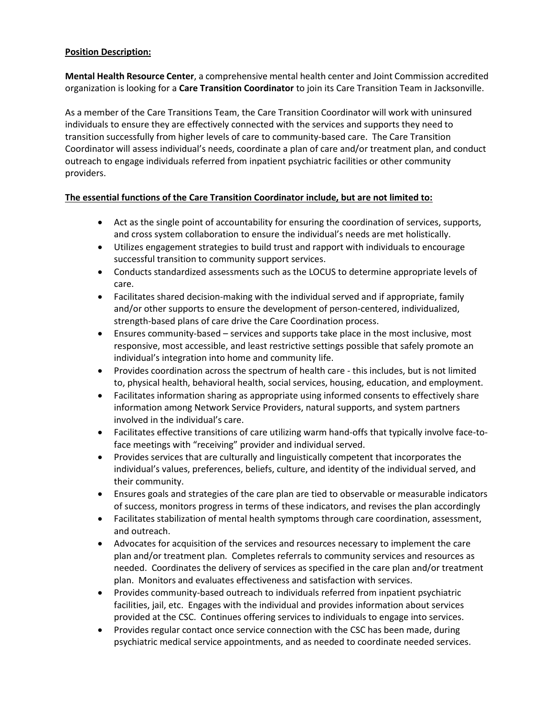## **Position Description:**

**Mental Health Resource Center**, a comprehensive mental health center and Joint Commission accredited organization is looking for a **Care Transition Coordinator** to join its Care Transition Team in Jacksonville.

As a member of the Care Transitions Team, the Care Transition Coordinator will work with uninsured individuals to ensure they are effectively connected with the services and supports they need to transition successfully from higher levels of care to community‐based care. The Care Transition Coordinator will assess individual's needs, coordinate a plan of care and/or treatment plan, and conduct outreach to engage individuals referred from inpatient psychiatric facilities or other community providers.

## **The essential functions of the Care Transition Coordinator include, but are not limited to:**

- Act as the single point of accountability for ensuring the coordination of services, supports, and cross system collaboration to ensure the individual's needs are met holistically.
- Utilizes engagement strategies to build trust and rapport with individuals to encourage successful transition to community support services.
- Conducts standardized assessments such as the LOCUS to determine appropriate levels of care.
- Facilitates shared decision-making with the individual served and if appropriate, family and/or other supports to ensure the development of person‐centered, individualized, strength‐based plans of care drive the Care Coordination process.
- Ensures community-based services and supports take place in the most inclusive, most responsive, most accessible, and least restrictive settings possible that safely promote an individual's integration into home and community life.
- Provides coordination across the spectrum of health care this includes, but is not limited to, physical health, behavioral health, social services, housing, education, and employment.
- Facilitates information sharing as appropriate using informed consents to effectively share information among Network Service Providers, natural supports, and system partners involved in the individual's care.
- Facilitates effective transitions of care utilizing warm hand-offs that typically involve face-toface meetings with "receiving" provider and individual served.
- Provides services that are culturally and linguistically competent that incorporates the individual's values, preferences, beliefs, culture, and identity of the individual served, and their community.
- Ensures goals and strategies of the care plan are tied to observable or measurable indicators of success, monitors progress in terms of these indicators, and revises the plan accordingly
- Facilitates stabilization of mental health symptoms through care coordination, assessment, and outreach.
- Advocates for acquisition of the services and resources necessary to implement the care plan and/or treatment plan. Completes referrals to community services and resources as needed. Coordinates the delivery of services as specified in the care plan and/or treatment plan. Monitors and evaluates effectiveness and satisfaction with services.
- Provides community-based outreach to individuals referred from inpatient psychiatric facilities, jail, etc. Engages with the individual and provides information about services provided at the CSC. Continues offering services to individuals to engage into services.
- Provides regular contact once service connection with the CSC has been made, during psychiatric medical service appointments, and as needed to coordinate needed services.